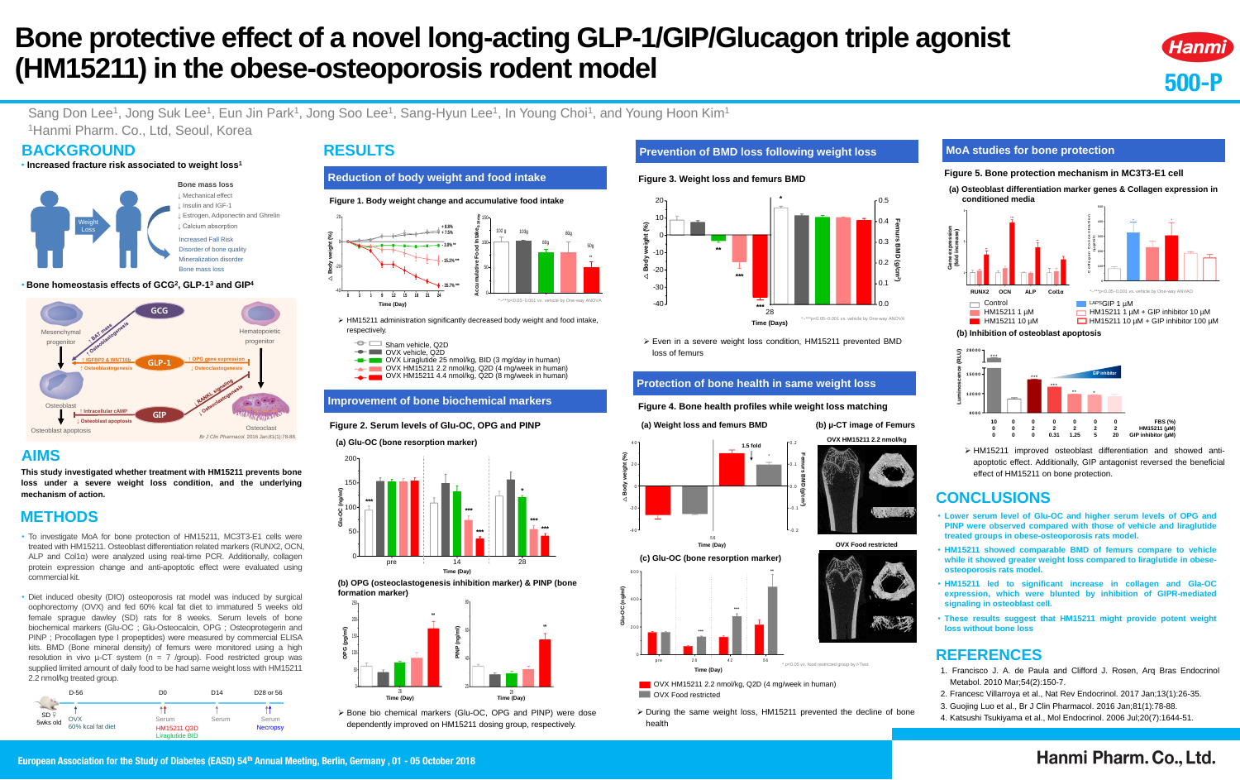**500-P**

Hanmi

LAPSGIP 1 uM  $\Box$  HM15211 1 µM + GIP inhibitor 10 µM  $\Box$  HM15211 10  $\mu$ M + GIP inhibitor 100  $\mu$ M

# **Bone protective effect of a novel long-acting GLP-1/GIP/Glucagon triple agonist (HM15211) in the obese-osteoporosis rodent model**

### Sang Don Lee<sup>1</sup>, Jong Suk Lee<sup>1</sup>, Eun Jin Park<sup>1</sup>, Jong Soo Lee<sup>1</sup>, Sang-Hyun Lee<sup>1</sup>, In Young Choi<sup>1</sup>, and Young Hoon Kim<sup>1</sup> <sup>1</sup>Hanmi Pharm. Co., Ltd, Seoul, Korea

### **BACKGROUND**

### **AIMS**

**This study investigated whether treatment with HM15211 prevents bone loss under a severe weight loss condition, and the underlying mechanism of action.**

### **METHODS**

### **RESULTS**

### **REFERENCES**

- **Lower serum level of Glu-OC and higher serum levels of OPG and PINP were observed compared with those of vehicle and liraglutide treated groups in obese-osteoporosis rats model.**
- **HM15211 showed comparable BMD of femurs compare to vehicle while it showed greater weight loss compared to liraglutide in obeseosteoporosis rats model.**
- **HM15211 led to significant increase in collagen and Gla-OC expression, which were blunted by inhibition of GIPR-mediated signaling in osteoblast cell.**
- **These results suggest that HM15211 might provide potent weight loss without bone loss**

- 1. Francisco J. A. de Paula and Clifford J. Rosen, Arq Bras Endocrinol Metabol. 2010 Mar;54(2):150-7.
- 2. Francesc Villarroya et al., Nat Rev Endocrinol. 2017 Jan;13(1):26-35.
- 3. Guojing Luo et al., Br J Clin Pharmacol. 2016 Jan;81(1):78-88.
- 4. Katsushi Tsukiyama et al., Mol Endocrinol. 2006 Jul;20(7):1644-51.

## Hanmi Pharm. Co., Ltd.

#### • **Bone homeostasis effects of GCG<sup>2</sup> , GLP-1 <sup>3</sup> and GIP<sup>4</sup>**

• **Increased fracture risk associated to weight loss<sup>1</sup>**

- To investigate MoA for bone protection of HM15211, MC3T3-E1 cells were treated with HM15211. Osteoblast differentiation related markers (RUNX2, OCN, ALP and Col1α) were analyzed using real-time PCR. Additionally, collagen protein expression change and anti-apoptotic effect were evaluated using commercial kit.
- Diet induced obesity (DIO) osteoporosis rat model was induced by surgical oophorectomy (OVX) and fed 60% kcal fat diet to immatured 5 weeks old female sprague dawley (SD) rats for 8 weeks. Serum levels of bone biochemical markers (Glu-OC ; Glu-Osteocalcin, OPG ; Osteoprotegerin and PINP ; Procollagen type I propeptides) were measured by commercial ELISA kits. BMD (Bone mineral density) of femurs were monitored using a high resolution in vivo  $\mu$ -CT system (n = 7 /group). Food restricted group was supplied limited amount of daily food to be had same weight loss with HM15211 2.2 nmol/kg treated group.

#### **Reduction of body weight and food intake**

|                           | $D-56$                          | D <sub>0</sub>                                        | D <sub>14</sub> | D <sub>28</sub> or 56    |
|---------------------------|---------------------------------|-------------------------------------------------------|-----------------|--------------------------|
| $SD \nvert P$<br>5wks old | <b>OVX</b><br>60% kcal fat diet | Serum<br><b>HM15211 Q3D</b><br><b>Liraglutide BID</b> | Serum           | Serum<br><b>Necropsy</b> |





HM15211 administration significantly decreased body weight and food intake,



#### **Figure 1. Body weight change and accumulative food intake 0 3 6 9 12 15 18 21 24** -40 -20 0-20 **+ 7.5% + 8.8% - 3.0% \*\* - 15.2% \*\*\* - 35.7% \*\*\*** 0 50 100 150 102 g 103g 80g 80g 50g \*\* **Accumulative Food Intake0-24day** \*~\*\*\**p*<0.05~0.001 *vs.* vehicle by One-way ANOVA

#### OVX vehicle, Q2D OVX Liraglutide 25 nmol/kg, BID (3 mg/day in human) OVX HM15211 2.2 nmol/kg, Q2D (4 mg/week in human) OVX HM15211 4.4 nmol/kg, Q2D (8 mg/week in human)

#### **Improvement of bone biochemical markers**

#### **Figure 2. Serum levels of Glu-OC, OPG and PINP**



 Bone bio chemical markers (Glu-OC, OPG and PINP) were dose dependently improved on HM15211 dosing group, respectively.

**(b) OPG (osteoclastogenesis inhibition marker) & PINP (bone** 

### **formation marker)**

#### **(a) Glu-OC (bone resorption marker) Glu-OC (ng/ml)** pre i 14 i 28 0 50  $\frac{5}{100}$ 150 200 **\*\*\*\*\*\*\*\*\*\*\*\*\*\*\*\*Time (Day)**





### **Figure 3. Weight loss and femurs BMD**



 Even in a severe weight loss condition, HM15211 prevented BMD loss of femurs

### **Prevention of BMD loss following weight loss**

### **Protection of bone health in same weight loss**

 During the same weight loss, HM15211 prevented the decline of bone health



### **Figure 4. Bone health profiles while weight loss matching**



#### **MoA studies for bone protection**

#### **Figure 5. Bone protection mechanism in MC3T3-E1 cell**

**(a) Osteoblast differentiation marker genes & Collagen expression in conditioned media**



**C**





**(b) Inhibition of osteoblast apoptosis**

 HM15211 improved osteoblast differentiation and showed antiapoptotic effect. Additionally, GIP antagonist reversed the beneficial effect of HM15211 on bone protection.

### **CONCLUSIONS**